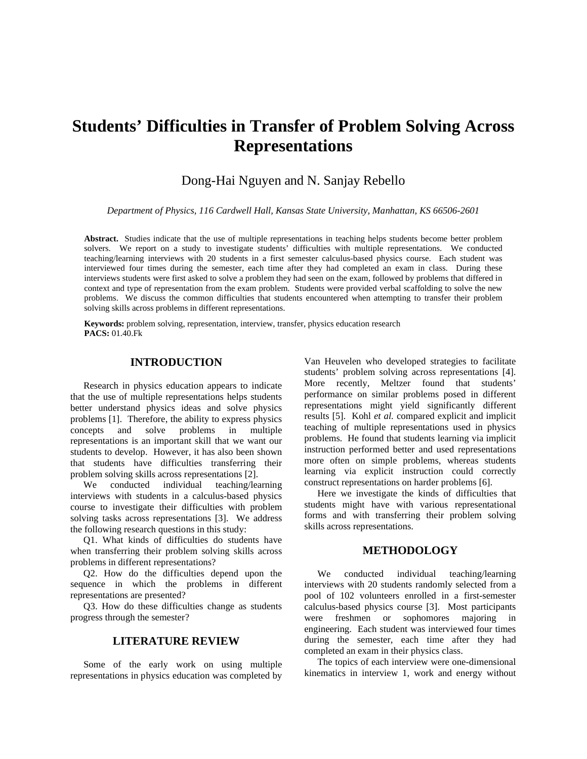# **Students' Difficulties in Transfer of Problem Solving Across Representations**

## Dong-Hai Nguyen and N. Sanjay Rebello

*Department of Physics, 116 Cardwell Hall, Kansas State University, Manhattan, KS 66506-2601*

**Abstract.** Studies indicate that the use of multiple representations in teaching helps students become better problem solvers. We report on a study to investigate students' difficulties with multiple representations. We conducted teaching/learning interviews with 20 students in a first semester calculus-based physics course. Each student was interviewed four times during the semester, each time after they had completed an exam in class. During these interviews students were first asked to solve a problem they had seen on the exam, followed by problems that differed in context and type of representation from the exam problem. Students were provided verbal scaffolding to solve the new problems. We discuss the common difficulties that students encountered when attempting to transfer their problem solving skills across problems in different representations.

**Keywords:** problem solving, representation, interview, transfer, physics education research **PACS:** 01.40.Fk

## **INTRODUCTION**

Research in physics education appears to indicate that the use of multiple representations helps students better understand physics ideas and solve physics problems [1]. Therefore, the ability to express physics concepts and solve problems in multiple representations is an important skill that we want our students to develop. However, it has also been shown that students have difficulties transferring their problem solving skills across representations [2].

We conducted individual teaching/learning interviews with students in a calculus-based physics course to investigate their difficulties with problem solving tasks across representations [3]. We address the following research questions in this study:

Q1. What kinds of difficulties do students have when transferring their problem solving skills across problems in different representations?

Q2. How do the difficulties depend upon the sequence in which the problems in different representations are presented?

Q3. How do these difficulties change as students progress through the semester?

## **LITERATURE REVIEW**

Some of the early work on using multiple representations in physics education was completed by

Van Heuvelen who developed strategies to facilitate students' problem solving across representations [4]. More recently, Meltzer found that students' performance on similar problems posed in different representations might yield significantly different results [5]. Kohl *et al.* compared explicit and implicit teaching of multiple representations used in physics problems. He found that students learning via implicit instruction performed better and used representations more often on simple problems, whereas students learning via explicit instruction could correctly construct representations on harder problems [6].

Here we investigate the kinds of difficulties that students might have with various representational forms and with transferring their problem solving skills across representations.

## **METHODOLOGY**

We conducted individual teaching/learning interviews with 20 students randomly selected from a pool of 102 volunteers enrolled in a first-semester calculus-based physics course [3]. Most participants were freshmen or sophomores majoring in engineering. Each student was interviewed four times during the semester, each time after they had completed an exam in their physics class.

The topics of each interview were one-dimensional kinematics in interview 1, work and energy without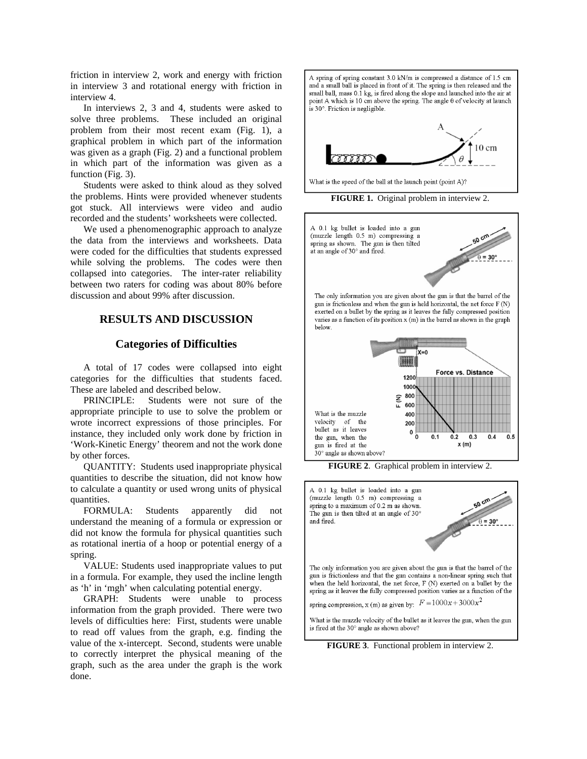friction in interview 2, work and energy with friction in interview 3 and rotational energy with friction in interview 4.

In interviews 2, 3 and 4, students were asked to solve three problems. These included an original problem from their most recent exam (Fig. 1), a graphical problem in which part of the information was given as a graph (Fig. 2) and a functional problem in which part of the information was given as a function (Fig. 3).

Students were asked to think aloud as they solved the problems. Hints were provided whenever students got stuck. All interviews were video and audio recorded and the students' worksheets were collected.

We used a phenomenographic approach to analyze the data from the interviews and worksheets. Data were coded for the difficulties that students expressed while solving the problems. The codes were then collapsed into categories. The inter-rater reliability between two raters for coding was about 80% before discussion and about 99% after discussion.

## **RESULTS AND DISCUSSION**

#### **Categories of Difficulties**

A total of 17 codes were collapsed into eight categories for the difficulties that students faced. These are labeled and described below.

PRINCIPLE: Students were not sure of the appropriate principle to use to solve the problem or wrote incorrect expressions of those principles. For instance, they included only work done by friction in 'Work-Kinetic Energy' theorem and not the work done by other forces.

QUANTITY: Students used inappropriate physical quantities to describe the situation, did not know how to calculate a quantity or used wrong units of physical quantities.

FORMULA: Students apparently did not understand the meaning of a formula or expression or did not know the formula for physical quantities such as rotational inertia of a hoop or potential energy of a spring.

VALUE: Students used inappropriate values to put in a formula. For example, they used the incline length as 'h' in 'mgh' when calculating potential energy.

GRAPH: Students were unable to process information from the graph provided. There were two levels of difficulties here: First, students were unable to read off values from the graph, e.g. finding the value of the x-intercept. Second, students were unable to correctly interpret the physical meaning of the graph, such as the area under the graph is the work done.

A spring of spring constant 3.0 kN/m is compressed a distance of 1.5 cm and a small ball is placed in front of it. The spring is then released and the small ball, mass 0.1 kg, is fired along the slope and launched into the air at point A which is 10 cm above the spring. The angle  $\theta$  of velocity at launch is 30°. Friction is negligible.



What is the speed of the ball at the launch point (point A)?

**FIGURE 1.** Original problem in interview 2.





**FIGURE 3**. Functional problem in interview 2.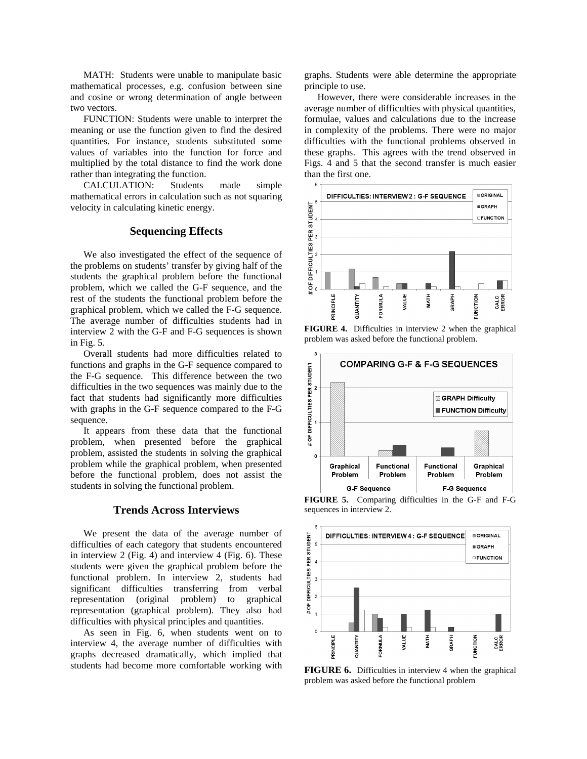MATH: Students were unable to manipulate basic mathematical processes, e.g. confusion between sine and cosine or wrong determination of angle between two vectors.

FUNCTION: Students were unable to interpret the meaning or use the function given to find the desired quantities. For instance, students substituted some values of variables into the function for force and multiplied by the total distance to find the work done rather than integrating the function.

CALCULATION: Students made simple mathematical errors in calculation such as not squaring velocity in calculating kinetic energy.

## **Sequencing Effects**

We also investigated the effect of the sequence of the problems on students' transfer by giving half of the students the graphical problem before the functional problem, which we called the G-F sequence, and the rest of the students the functional problem before the graphical problem, which we called the F-G sequence. The average number of difficulties students had in interview 2 with the G-F and F-G sequences is shown in Fig. 5.

Overall students had more difficulties related to functions and graphs in the G-F sequence compared to the F-G sequence. This difference between the two difficulties in the two sequences was mainly due to the fact that students had significantly more difficulties with graphs in the G-F sequence compared to the F-G sequence.

It appears from these data that the functional problem, when presented before the graphical problem, assisted the students in solving the graphical problem while the graphical problem, when presented before the functional problem, does not assist the students in solving the functional problem.

#### **Trends Across Interviews**

We present the data of the average number of difficulties of each category that students encountered in interview 2 (Fig. 4) and interview 4 (Fig. 6). These students were given the graphical problem before the functional problem. In interview 2, students had significant difficulties transferring from verbal representation (original problem) to graphical representation (graphical problem). They also had difficulties with physical principles and quantities.

As seen in Fig. 6, when students went on to interview 4, the average number of difficulties with graphs decreased dramatically, which implied that students had become more comfortable working with graphs. Students were able determine the appropriate principle to use.

However, there were considerable increases in the average number of difficulties with physical quantities, formulae, values and calculations due to the increase in complexity of the problems. There were no major difficulties with the functional problems observed in these graphs. This agrees with the trend observed in Figs. 4 and 5 that the second transfer is much easier than the first one.



**FIGURE 4.** Difficulties in interview 2 when the graphical problem was asked before the functional problem.



**FIGURE 5.** Comparing difficulties in the G-F and F-G sequences in interview 2.



**FIGURE 6.** Difficulties in interview 4 when the graphical problem was asked before the functional problem